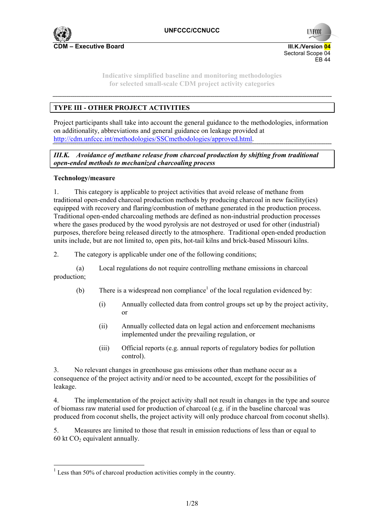

**UNFCC** 

**Indicative simplified baseline and monitoring methodologies for selected small-scale CDM project activity categories** 

# **TYPE III - OTHER PROJECT ACTIVITIES**

Project participants shall take into account the general guidance to the methodologies, information on additionality, abbreviations and general guidance on leakage provided at http://cdm.unfccc.int/methodologies/SSCmethodologies/approved.html.

*III.K. Avoidance of methane release from charcoal production by shifting from traditional open-ended methods to mechanized charcoaling process* 

## **Technology/measure**

 $\overline{a}$ 

1. This category is applicable to project activities that avoid release of methane from traditional open-ended charcoal production methods by producing charcoal in new facility(ies) equipped with recovery and flaring/combustion of methane generated in the production process. Traditional open-ended charcoaling methods are defined as non-industrial production processes where the gases produced by the wood pyrolysis are not destroyed or used for other (industrial) purposes, therefore being released directly to the atmosphere. Traditional open-ended production units include, but are not limited to, open pits, hot-tail kilns and brick-based Missouri kilns.

2. The category is applicable under one of the following conditions;

(a) Local regulations do not require controlling methane emissions in charcoal production;

- (b) There is a widespread non compliance<sup>1</sup> of the local regulation evidenced by:
	- (i) Annually collected data from control groups set up by the project activity, or
	- (ii) Annually collected data on legal action and enforcement mechanisms implemented under the prevailing regulation, or
	- (iii) Official reports (e.g. annual reports of regulatory bodies for pollution control).

3. No relevant changes in greenhouse gas emissions other than methane occur as a consequence of the project activity and/or need to be accounted, except for the possibilities of leakage.

4. The implementation of the project activity shall not result in changes in the type and source of biomass raw material used for production of charcoal (e.g. if in the baseline charcoal was produced from coconut shells, the project activity will only produce charcoal from coconut shells).

5. Measures are limited to those that result in emission reductions of less than or equal to 60 kt  $CO<sub>2</sub>$  equivalent annually.

 $1$  Less than 50% of charcoal production activities comply in the country.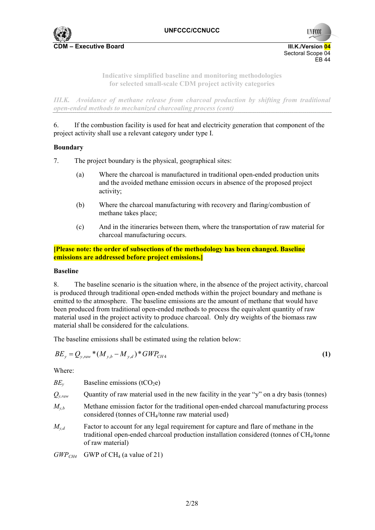

**UNFCC** 

**Indicative simplified baseline and monitoring methodologies for selected small-scale CDM project activity categories** 

*III.K. Avoidance of methane release from charcoal production by shifting from traditional open-ended methods to mechanized charcoaling process (cont)* 

6. If the combustion facility is used for heat and electricity generation that component of the project activity shall use a relevant category under type I.

## **Boundary**

7. The project boundary is the physical, geographical sites:

- (a) Where the charcoal is manufactured in traditional open-ended production units and the avoided methane emission occurs in absence of the proposed project activity;
- (b) Where the charcoal manufacturing with recovery and flaring/combustion of methane takes place;
- (c) And in the itineraries between them, where the transportation of raw material for charcoal manufacturing occurs.

**[Please note: the order of subsections of the methodology has been changed. Baseline emissions are addressed before project emissions.]** 

#### **Baseline**

8. The baseline scenario is the situation where, in the absence of the project activity, charcoal is produced through traditional open-ended methods within the project boundary and methane is emitted to the atmosphere. The baseline emissions are the amount of methane that would have been produced from traditional open-ended methods to process the equivalent quantity of raw material used in the project activity to produce charcoal. Only dry weights of the biomass raw material shall be considered for the calculations.

The baseline emissions shall be estimated using the relation below:

$$
BE_{y} = Q_{y,raw} * (M_{y,b} - M_{y,d}) * GWP_{CH4}
$$
\n(1)

Where:

| Baseline emissions $(tCO2e)$<br>$BE_v$ |  |
|----------------------------------------|--|
|----------------------------------------|--|

- $Q_{y,raw}$  Quantity of raw material used in the new facility in the year "y" on a dry basis (tonnes)
- $M_{v,b}$  Methane emission factor for the traditional open-ended charcoal manufacturing process considered (tonnes of CH4/tonne raw material used)
- *M<sub>v,d</sub>* Factor to account for any legal requirement for capture and flare of methane in the traditional open-ended charcoal production installation considered (tonnes of  $CH<sub>4</sub>/t$ onne of raw material)

 $GWP_{CH4}$  GWP of CH<sub>4</sub> (a value of 21)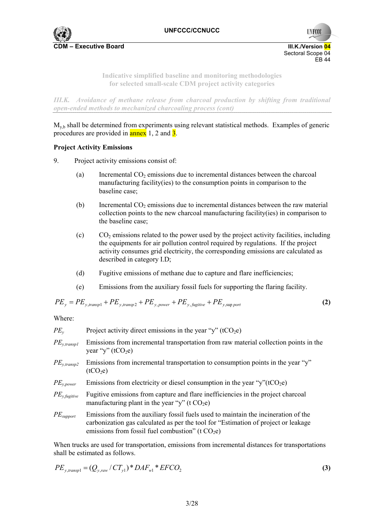

**UNFCC** 

**Indicative simplified baseline and monitoring methodologies for selected small-scale CDM project activity categories** 

*III.K. Avoidance of methane release from charcoal production by shifting from traditional open-ended methods to mechanized charcoaling process (cont)* 

 $M_{v<sub>b</sub>}$  shall be determined from experiments using relevant statistical methods. Examples of generic procedures are provided in  $\frac{\text{annex}}{\text{annex}}$  1, 2 and  $\frac{3}{2}$ .

## **Project Activity Emissions**

- 9. Project activity emissions consist of:
	- (a) Incremental  $CO<sub>2</sub>$  emissions due to incremental distances between the charcoal manufacturing facility(ies) to the consumption points in comparison to the baseline case;
	- (b) Incremental  $CO<sub>2</sub>$  emissions due to incremental distances between the raw material collection points to the new charcoal manufacturing facility(ies) in comparison to the baseline case;
	- (c)  $CO<sub>2</sub>$  emissions related to the power used by the project activity facilities, including the equipments for air pollution control required by regulations. If the project activity consumes grid electricity, the corresponding emissions are calculated as described in category I.D;
	- (d) Fugitive emissions of methane due to capture and flare inefficiencies;
	- (e) Emissions from the auxiliary fossil fuels for supporting the flaring facility.

$$
PE_y = PE_{y, transport} + PE_{y, transport} + PE_{y, power} + PE_{y,figure} + PE_{y, supp port}
$$
\n(2)

Where:

| $PE_{v}$                  | Project activity direct emissions in the year "y" (tCO <sub>2</sub> e)                                                                                                                                                          |
|---------------------------|---------------------------------------------------------------------------------------------------------------------------------------------------------------------------------------------------------------------------------|
| $PE_{y, transplant}$      | Emissions from incremental transportation from raw material collection points in the<br>year "y" (tCO <sub>2</sub> e)                                                                                                           |
| $PE_{y, transp2}$         | Emissions from incremental transportation to consumption points in the year "y"<br>(tCO <sub>2</sub> e)                                                                                                                         |
| $PE_{y, power}$           | Emissions from electricity or diesel consumption in the year "y"( $tCO2e$ )                                                                                                                                                     |
| $PE_{y, \text{fugitive}}$ | Fugitive emissions from capture and flare inefficiencies in the project charcoal<br>manufacturing plant in the year "y" (t $CO2e$ )                                                                                             |
| $PE_{support}$            | Emissions from the auxiliary fossil fuels used to maintain the incineration of the<br>carbonization gas calculated as per the tool for "Estimation of project or leakage"<br>emissions from fossil fuel combustion" (t $CO2e$ ) |

When trucks are used for transportation, emissions from incremental distances for transportations shall be estimated as follows.

$$
PE_{y, transpl} = (Q_{y, raw} / CT_{y1}) * DAF_{wl} * EFCO_2
$$
\n
$$
\tag{3}
$$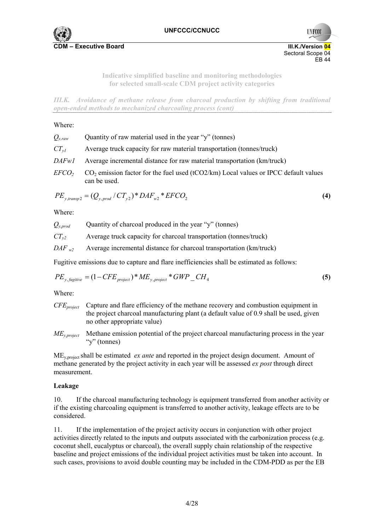

**UNFCC** Sectoral Scope 04 EB 44

> **Indicative simplified baseline and monitoring methodologies for selected small-scale CDM project activity categories**

*III.K. Avoidance of methane release from charcoal production by shifting from traditional open-ended methods to mechanized charcoaling process (cont)* 

#### Where:

| $Q_{y,raw}$   | Quantity of raw material used in the year "y" (tonnes)                                                |
|---------------|-------------------------------------------------------------------------------------------------------|
| $CT_{vl}$     | Average truck capacity for raw material transportation (tonnes/truck)                                 |
| DAFwI         | Average incremental distance for raw material transportation (km/truck)                               |
| <i>EFCO</i> , | $CO2$ emission factor for the fuel used (tCO2/km) Local values or IPCC default values<br>can be used. |

$$
PE_{y, transp2} = (Q_{y, prod} / CT_{y2}) * DAF_{w2} * EFCO_2
$$
\n(4)

Where:

| $Q_{v,prod}$ | Quantity of charcoal produced in the year "y" (tonnes)              |
|--------------|---------------------------------------------------------------------|
| $CT_{v2}$    | Average truck capacity for charcoal transportation (tonnes/truck)   |
| $DAF_{w2}$   | Average incremental distance for charcoal transportation (km/truck) |

Fugitive emissions due to capture and flare inefficiencies shall be estimated as follows:

$$
PE_{y, \text{fugitive}} = (1 - CFE_{\text{project}}) * ME_{y, \text{project}} * GWP\_CH_4
$$
\n
$$
\tag{5}
$$

Where:

- *CFEproject* Capture and flare efficiency of the methane recovery and combustion equipment in the project charcoal manufacturing plant (a default value of 0.9 shall be used, given no other appropriate value)
- *MEy,project* Methane emission potential of the project charcoal manufacturing process in the year "y" (tonnes)

MEy,project shall be estimated *ex ante* and reported in the project design document. Amount of methane generated by the project activity in each year will be assessed *ex post* through direct measurement.

#### **Leakage**

10. If the charcoal manufacturing technology is equipment transferred from another activity or if the existing charcoaling equipment is transferred to another activity, leakage effects are to be considered.

11. If the implementation of the project activity occurs in conjunction with other project activities directly related to the inputs and outputs associated with the carbonization process (e.g. coconut shell, eucalyptus or charcoal), the overall supply chain relationship of the respective baseline and project emissions of the individual project activities must be taken into account. In such cases, provisions to avoid double counting may be included in the CDM-PDD as per the EB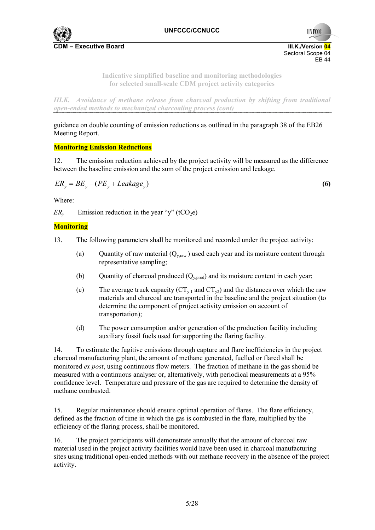

**UNFCCC** 

## **Indicative simplified baseline and monitoring methodologies for selected small-scale CDM project activity categories**

*III.K. Avoidance of methane release from charcoal production by shifting from traditional open-ended methods to mechanized charcoaling process (cont)* 

guidance on double counting of emission reductions as outlined in the paragraph 38 of the EB26 Meeting Report.

## **Monitoring Emission Reductions**

12. The emission reduction achieved by the project activity will be measured as the difference between the baseline emission and the sum of the project emission and leakage.

$$
ER_y = BE_y - (PE_y + Leakage_y) \tag{6}
$$

Where:

 $ER<sub>v</sub>$  Emission reduction in the year "y" (tCO<sub>2</sub>e)

## **Monitoring**

- 13. The following parameters shall be monitored and recorded under the project activity:
	- (a) Quantity of raw material  $(Q_{v,raw})$  used each year and its moisture content through representative sampling;
	- (b) Quantity of charcoal produced  $(Q_{v,prod})$  and its moisture content in each year;
	- (c) The average truck capacity  $(CT_{y1}$  and  $CT_{y2})$  and the distances over which the raw materials and charcoal are transported in the baseline and the project situation (to determine the component of project activity emission on account of transportation);
	- (d) The power consumption and/or generation of the production facility including auxiliary fossil fuels used for supporting the flaring facility.

14. To estimate the fugitive emissions through capture and flare inefficiencies in the project charcoal manufacturing plant, the amount of methane generated, fuelled or flared shall be monitored *ex post*, using continuous flow meters. The fraction of methane in the gas should be measured with a continuous analyser or, alternatively, with periodical measurements at a 95% confidence level. Temperature and pressure of the gas are required to determine the density of methane combusted.

15. Regular maintenance should ensure optimal operation of flares. The flare efficiency, defined as the fraction of time in which the gas is combusted in the flare, multiplied by the efficiency of the flaring process, shall be monitored.

16. The project participants will demonstrate annually that the amount of charcoal raw material used in the project activity facilities would have been used in charcoal manufacturing sites using traditional open-ended methods with out methane recovery in the absence of the project activity.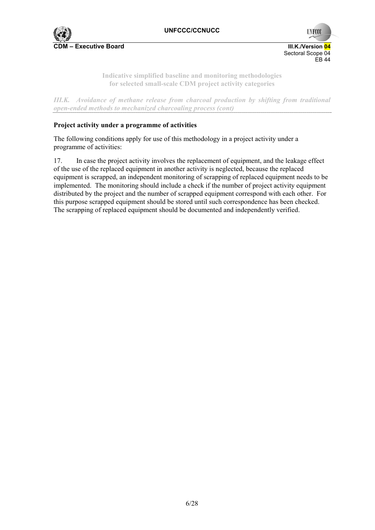

**UNFCC** Sectoral Scope 04 EB 44

> **Indicative simplified baseline and monitoring methodologies for selected small-scale CDM project activity categories**

*III.K. Avoidance of methane release from charcoal production by shifting from traditional open-ended methods to mechanized charcoaling process (cont)* 

## **Project activity under a programme of activities**

The following conditions apply for use of this methodology in a project activity under a programme of activities:

17. In case the project activity involves the replacement of equipment, and the leakage effect of the use of the replaced equipment in another activity is neglected, because the replaced equipment is scrapped, an independent monitoring of scrapping of replaced equipment needs to be implemented. The monitoring should include a check if the number of project activity equipment distributed by the project and the number of scrapped equipment correspond with each other. For this purpose scrapped equipment should be stored until such correspondence has been checked. The scrapping of replaced equipment should be documented and independently verified.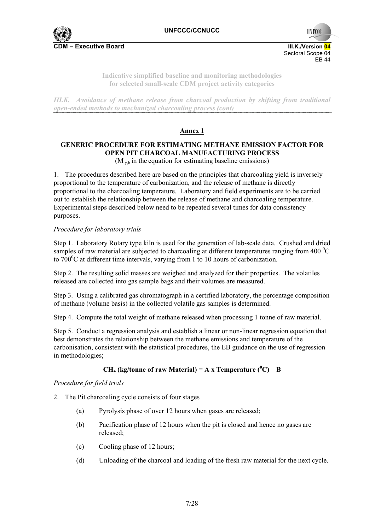

**UNFCCC** 

**Indicative simplified baseline and monitoring methodologies for selected small-scale CDM project activity categories** 

*III.K. Avoidance of methane release from charcoal production by shifting from traditional open-ended methods to mechanized charcoaling process (cont)* 

# **Annex 1**

# **GENERIC PROCEDURE FOR ESTIMATING METHANE EMISSION FACTOR FOR OPEN PIT CHARCOAL MANUFACTURING PROCESS**

 $(M_{v,b}$  in the equation for estimating baseline emissions)

1. The procedures described here are based on the principles that charcoaling yield is inversely proportional to the temperature of carbonization, and the release of methane is directly proportional to the charcoaling temperature. Laboratory and field experiments are to be carried out to establish the relationship between the release of methane and charcoaling temperature. Experimental steps described below need to be repeated several times for data consistency purposes.

## *Procedure for laboratory trials*

Step 1. Laboratory Rotary type kiln is used for the generation of lab-scale data. Crushed and dried samples of raw material are subjected to charcoaling at different temperatures ranging from 400  $\rm{^0C}$ to  $700^{\circ}$ C at different time intervals, varying from 1 to 10 hours of carbonization.

Step 2. The resulting solid masses are weighed and analyzed for their properties. The volatiles released are collected into gas sample bags and their volumes are measured.

Step 3. Using a calibrated gas chromatograph in a certified laboratory, the percentage composition of methane (volume basis) in the collected volatile gas samples is determined.

Step 4. Compute the total weight of methane released when processing 1 tonne of raw material.

Step 5. Conduct a regression analysis and establish a linear or non-linear regression equation that best demonstrates the relationship between the methane emissions and temperature of the carbonisation, consistent with the statistical procedures, the EB guidance on the use of regression in methodologies;

# **CH<sub>4</sub>** (kg/tonne of raw Material) = A x Temperature ( $^0C$ ) – B

## *Procedure for field trials*

- 2. The Pit charcoaling cycle consists of four stages
	- (a) Pyrolysis phase of over 12 hours when gases are released;
	- (b) Pacification phase of 12 hours when the pit is closed and hence no gases are released;
	- (c) Cooling phase of 12 hours;
	- (d) Unloading of the charcoal and loading of the fresh raw material for the next cycle.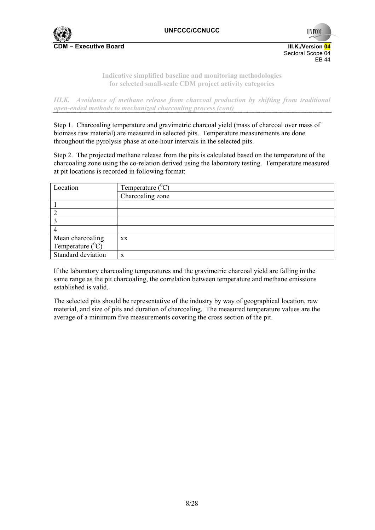

**UNFCC** 

**Indicative simplified baseline and monitoring methodologies for selected small-scale CDM project activity categories** 

*III.K. Avoidance of methane release from charcoal production by shifting from traditional open-ended methods to mechanized charcoaling process (cont)* 

Step 1. Charcoaling temperature and gravimetric charcoal yield (mass of charcoal over mass of biomass raw material) are measured in selected pits. Temperature measurements are done throughout the pyrolysis phase at one-hour intervals in the selected pits.

Step 2. The projected methane release from the pits is calculated based on the temperature of the charcoaling zone using the co-relation derived using the laboratory testing. Temperature measured at pit locations is recorded in following format:

| Location            | Temperature $(^0C)$ |  |
|---------------------|---------------------|--|
|                     | Charcoaling zone    |  |
|                     |                     |  |
|                     |                     |  |
|                     |                     |  |
|                     |                     |  |
| Mean charcoaling    | XX.                 |  |
| Temperature $(^0C)$ |                     |  |
| Standard deviation  | X                   |  |

If the laboratory charcoaling temperatures and the gravimetric charcoal yield are falling in the same range as the pit charcoaling, the correlation between temperature and methane emissions established is valid.

The selected pits should be representative of the industry by way of geographical location, raw material, and size of pits and duration of charcoaling. The measured temperature values are the average of a minimum five measurements covering the cross section of the pit.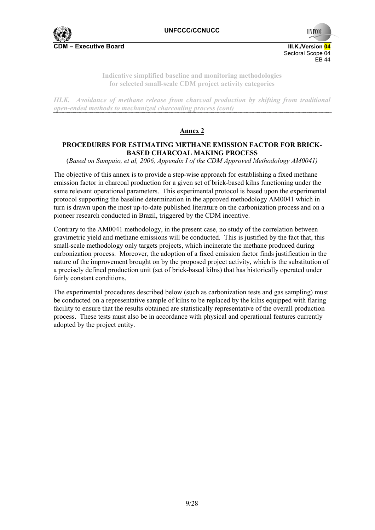

**UNFCC** 

**Indicative simplified baseline and monitoring methodologies for selected small-scale CDM project activity categories** 

*III.K. Avoidance of methane release from charcoal production by shifting from traditional open-ended methods to mechanized charcoaling process (cont)* 

# **Annex 2**

## **PROCEDURES FOR ESTIMATING METHANE EMISSION FACTOR FOR BRICK-BASED CHARCOAL MAKING PROCESS**

(*Based on Sampaio, et al, 2006, Appendix I of the CDM Approved Methodology AM0041)* 

The objective of this annex is to provide a step-wise approach for establishing a fixed methane emission factor in charcoal production for a given set of brick-based kilns functioning under the same relevant operational parameters. This experimental protocol is based upon the experimental protocol supporting the baseline determination in the approved methodology AM0041 which in turn is drawn upon the most up-to-date published literature on the carbonization process and on a pioneer research conducted in Brazil, triggered by the CDM incentive.

Contrary to the AM0041 methodology, in the present case, no study of the correlation between gravimetric yield and methane emissions will be conducted. This is justified by the fact that, this small-scale methodology only targets projects, which incinerate the methane produced during carbonization process. Moreover, the adoption of a fixed emission factor finds justification in the nature of the improvement brought on by the proposed project activity, which is the substitution of a precisely defined production unit (set of brick-based kilns) that has historically operated under fairly constant conditions.

The experimental procedures described below (such as carbonization tests and gas sampling) must be conducted on a representative sample of kilns to be replaced by the kilns equipped with flaring facility to ensure that the results obtained are statistically representative of the overall production process. These tests must also be in accordance with physical and operational features currently adopted by the project entity.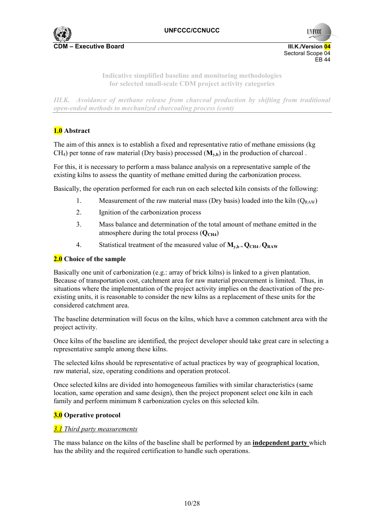

**UNFCCC**  Sectoral Scope 04 EB 44

> **Indicative simplified baseline and monitoring methodologies for selected small-scale CDM project activity categories**

*III.K. Avoidance of methane release from charcoal production by shifting from traditional open-ended methods to mechanized charcoaling process (cont)* 

# **1.0 Abstract**

The aim of this annex is to establish a fixed and representative ratio of methane emissions (kg  $CH<sub>4</sub>$ ) per tonne of raw material (Dry basis) processed ( $M<sub>v,b</sub>$ ) in the production of charcoal .

For this, it is necessary to perform a mass balance analysis on a representative sample of the existing kilns to assess the quantity of methane emitted during the carbonization process.

Basically, the operation performed for each run on each selected kiln consists of the following:

- 1. Measurement of the raw material mass (Dry basis) loaded into the kiln  $(Q_{RAW})$
- 2. Ignition of the carbonization process
- 3. Mass balance and determination of the total amount of methane emitted in the atmosphere during the total process  $(O<sub>CH4</sub>)$
- 4. Statistical treatment of the measured value of  $M_{v,b} = Q_{CH4}/Q_{RAW}$

#### **2.0 Choice of the sample**

Basically one unit of carbonization (e.g.: array of brick kilns) is linked to a given plantation. Because of transportation cost, catchment area for raw material procurement is limited. Thus, in situations where the implementation of the project activity implies on the deactivation of the preexisting units, it is reasonable to consider the new kilns as a replacement of these units for the considered catchment area.

The baseline determination will focus on the kilns, which have a common catchment area with the project activity.

Once kilns of the baseline are identified, the project developer should take great care in selecting a representative sample among these kilns.

The selected kilns should be representative of actual practices by way of geographical location, raw material, size, operating conditions and operation protocol.

Once selected kilns are divided into homogeneous families with similar characteristics (same location, same operation and same design), then the project proponent select one kiln in each family and perform minimum 8 carbonization cycles on this selected kiln.

#### **3.0 Operative protocol**

#### *3.1 Third party measurements*

The mass balance on the kilns of the baseline shall be performed by an **independent party** which has the ability and the required certification to handle such operations.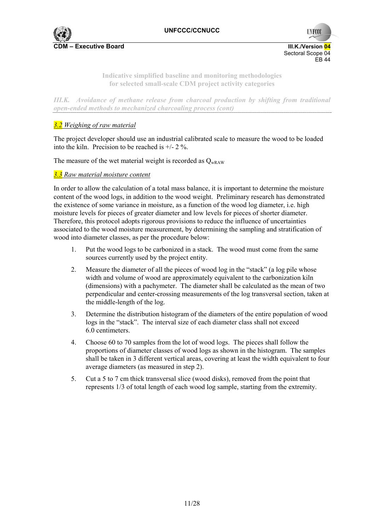



**Indicative simplified baseline and monitoring methodologies for selected small-scale CDM project activity categories** 

*III.K. Avoidance of methane release from charcoal production by shifting from traditional open-ended methods to mechanized charcoaling process (cont)* 

# *3.2 Weighing of raw material*

The project developer should use an industrial calibrated scale to measure the wood to be loaded into the kiln. Precision to be reached is +/- 2 %.

The measure of the wet material weight is recorded as  $Q_{\text{wRAW}}$ 

## *3.3 Raw material moisture content*

In order to allow the calculation of a total mass balance, it is important to determine the moisture content of the wood logs, in addition to the wood weight. Preliminary research has demonstrated the existence of some variance in moisture, as a function of the wood log diameter, i.e. high moisture levels for pieces of greater diameter and low levels for pieces of shorter diameter. Therefore, this protocol adopts rigorous provisions to reduce the influence of uncertainties associated to the wood moisture measurement, by determining the sampling and stratification of wood into diameter classes, as per the procedure below:

- 1. Put the wood logs to be carbonized in a stack. The wood must come from the same sources currently used by the project entity.
- 2. Measure the diameter of all the pieces of wood log in the "stack" (a log pile whose width and volume of wood are approximately equivalent to the carbonization kiln (dimensions) with a pachymeter. The diameter shall be calculated as the mean of two perpendicular and center-crossing measurements of the log transversal section, taken at the middle-length of the log.
- 3. Determine the distribution histogram of the diameters of the entire population of wood logs in the "stack". The interval size of each diameter class shall not exceed 6.0 centimeters.
- 4. Choose 60 to 70 samples from the lot of wood logs. The pieces shall follow the proportions of diameter classes of wood logs as shown in the histogram. The samples shall be taken in 3 different vertical areas, covering at least the width equivalent to four average diameters (as measured in step 2).
- 5. Cut a 5 to 7 cm thick transversal slice (wood disks), removed from the point that represents 1/3 of total length of each wood log sample, starting from the extremity.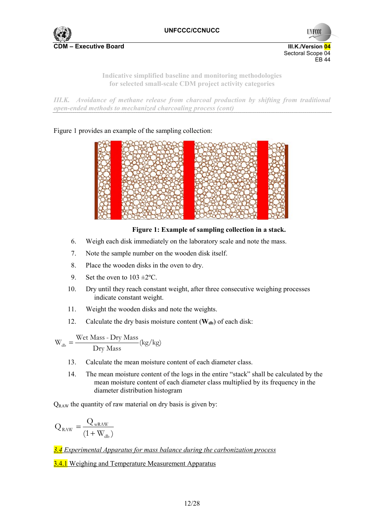

**UNFCCC** Sectoral Scope 04 EB 44

> **Indicative simplified baseline and monitoring methodologies for selected small-scale CDM project activity categories**

*III.K. Avoidance of methane release from charcoal production by shifting from traditional open-ended methods to mechanized charcoaling process (cont)* 

Figure 1 provides an example of the sampling collection:



# **Figure 1: Example of sampling collection in a stack.**

- 6. Weigh each disk immediately on the laboratory scale and note the mass.
- 7. Note the sample number on the wooden disk itself.
- 8. Place the wooden disks in the oven to dry.
- 9. Set the oven to  $103 \pm 2^{\circ}$ C.
- 10. Dry until they reach constant weight, after three consecutive weighing processes indicate constant weight.
- 11. Weight the wooden disks and note the weights.
- 12. Calculate the dry basis moisture content  $(\mathbf{W}_{db})$  of each disk:

 $W_{db} = \frac{\text{Wet Mass - Dry Mass}}{\text{Dry Mass}}$  (kg/kg)

- 13. Calculate the mean moisture content of each diameter class.
- 14. The mean moisture content of the logs in the entire "stack" shall be calculated by the mean moisture content of each diameter class multiplied by its frequency in the diameter distribution histogram

 $Q_{RAW}$  the quantity of raw material on dry basis is given by:

$$
Q_{\rm{RAW}} = \frac{Q_{\rm{wRAW}}}{(1+W_{\rm{db}})}
$$

*3.4 Experimental Apparatus for mass balance during the carbonization process* **3.4.1** Weighing and Temperature Measurement Apparatus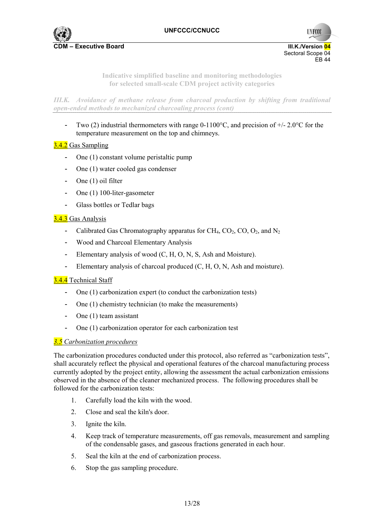

**UNFCCC** 

**Indicative simplified baseline and monitoring methodologies for selected small-scale CDM project activity categories** 

*III.K. Avoidance of methane release from charcoal production by shifting from traditional open-ended methods to mechanized charcoaling process (cont)* 

Two (2) industrial thermometers with range  $0-1100^{\circ}$ C, and precision of  $+/-2.0^{\circ}$ C for the temperature measurement on the top and chimneys.

# 3.4.2 Gas Sampling

- One (1) constant volume peristaltic pump
- One (1) water cooled gas condenser
- One (1) oil filter
- One (1) 100-liter-gasometer
- Glass bottles or Tedlar bags

# 3.4.3 Gas Analysis

- Calibrated Gas Chromatography apparatus for CH<sub>4</sub>, CO<sub>2</sub>, CO<sub>2</sub>, and N<sub>2</sub>
- Wood and Charcoal Elementary Analysis
- Elementary analysis of wood (C, H, O, N, S, Ash and Moisture).
- Elementary analysis of charcoal produced (C, H, O, N, Ash and moisture).

## 3.4.4 Technical Staff

- One (1) carbonization expert (to conduct the carbonization tests)
- One (1) chemistry technician (to make the measurements)
- One (1) team assistant
- One (1) carbonization operator for each carbonization test

## *3.5 Carbonization procedures*

The carbonization procedures conducted under this protocol, also referred as "carbonization tests", shall accurately reflect the physical and operational features of the charcoal manufacturing process currently adopted by the project entity, allowing the assessment the actual carbonization emissions observed in the absence of the cleaner mechanized process. The following procedures shall be followed for the carbonization tests:

- 1. Carefully load the kiln with the wood.
- 2. Close and seal the kiln's door.
- 3. Ignite the kiln.
- 4. Keep track of temperature measurements, off gas removals, measurement and sampling of the condensable gases, and gaseous fractions generated in each hour.
- 5. Seal the kiln at the end of carbonization process.
- 6. Stop the gas sampling procedure.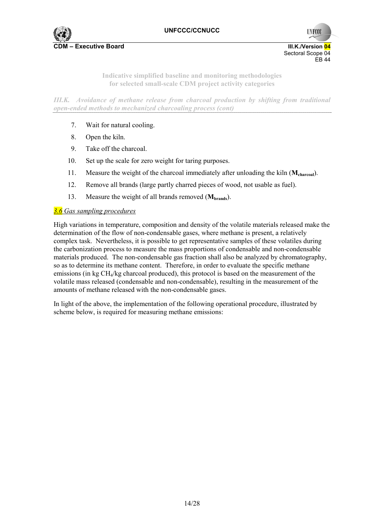



**Indicative simplified baseline and monitoring methodologies for selected small-scale CDM project activity categories** 

*III.K. Avoidance of methane release from charcoal production by shifting from traditional open-ended methods to mechanized charcoaling process (cont)* 

- 7. Wait for natural cooling.
- 8. Open the kiln.
- 9. Take off the charcoal.
- 10. Set up the scale for zero weight for taring purposes.
- 11. Measure the weight of the charcoal immediately after unloading the kiln (**Mcharcoal**).
- 12. Remove all brands (large partly charred pieces of wood, not usable as fuel).
- 13. Measure the weight of all brands removed (**Mbrands**).

#### *3.6 Gas sampling procedures*

High variations in temperature, composition and density of the volatile materials released make the determination of the flow of non-condensable gases, where methane is present, a relatively complex task. Nevertheless, it is possible to get representative samples of these volatiles during the carbonization process to measure the mass proportions of condensable and non-condensable materials produced. The non-condensable gas fraction shall also be analyzed by chromatography, so as to determine its methane content. Therefore, in order to evaluate the specific methane emissions (in kg CH4/kg charcoal produced), this protocol is based on the measurement of the volatile mass released (condensable and non-condensable), resulting in the measurement of the amounts of methane released with the non-condensable gases.

In light of the above, the implementation of the following operational procedure, illustrated by scheme below, is required for measuring methane emissions: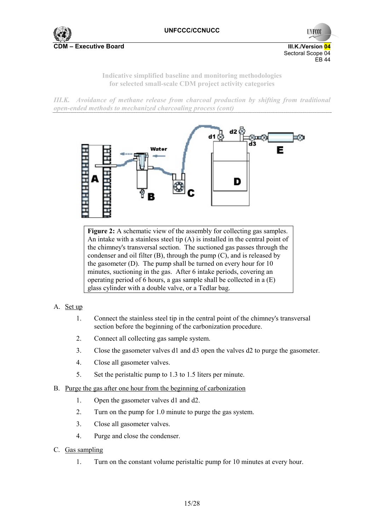

**UNFCCC** Sectoral Scope 04 EB 44

> **Indicative simplified baseline and monitoring methodologies for selected small-scale CDM project activity categories**

*III.K. Avoidance of methane release from charcoal production by shifting from traditional open-ended methods to mechanized charcoaling process (cont)* 



**Figure 2:** A schematic view of the assembly for collecting gas samples. An intake with a stainless steel tip (A) is installed in the central point of the chimney's transversal section. The suctioned gas passes through the condenser and oil filter (B), through the pump (C), and is released by the gasometer (D). The pump shall be turned on every hour for 10 minutes, suctioning in the gas. After 6 intake periods, covering an operating period of 6 hours, a gas sample shall be collected in a (E) glass cylinder with a double valve, or a Tedlar bag.

## A. Set up

- 1. Connect the stainless steel tip in the central point of the chimney's transversal section before the beginning of the carbonization procedure.
- 2. Connect all collecting gas sample system.
- 3. Close the gasometer valves d1 and d3 open the valves d2 to purge the gasometer.
- 4. Close all gasometer valves.
- 5. Set the peristaltic pump to 1.3 to 1.5 liters per minute.
- B. Purge the gas after one hour from the beginning of carbonization
	- 1. Open the gasometer valves d1 and d2.
	- 2. Turn on the pump for 1.0 minute to purge the gas system.
	- 3. Close all gasometer valves.
	- 4. Purge and close the condenser.
- C. Gas sampling
	- 1. Turn on the constant volume peristaltic pump for 10 minutes at every hour.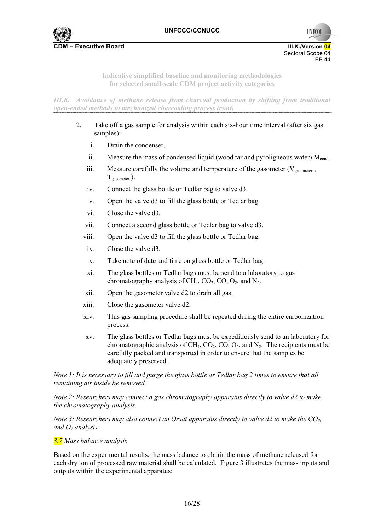

**UNFCCC** 

**Indicative simplified baseline and monitoring methodologies for selected small-scale CDM project activity categories** 

*III.K. Avoidance of methane release from charcoal production by shifting from traditional open-ended methods to mechanized charcoaling process (cont)* 

- 2. Take off a gas sample for analysis within each six-hour time interval (after six gas samples):
	- i. Drain the condenser.
	- ii. Measure the mass of condensed liquid (wood tar and pyroligneous water)  $M_{\text{cond}}$
	- iii. Measure carefully the volume and temperature of the gasometer ( $V_{\text{gasometer}}$ ,  $T_{\text{gasometer}}$ ).
	- iv. Connect the glass bottle or Tedlar bag to valve d3.
	- v. Open the valve d3 to fill the glass bottle or Tedlar bag.
	- vi. Close the valve d3.
	- vii. Connect a second glass bottle or Tedlar bag to valve d3.
	- viii. Open the valve d3 to fill the glass bottle or Tedlar bag.
	- ix. Close the valve d3.
	- x. Take note of date and time on glass bottle or Tedlar bag.
	- xi. The glass bottles or Tedlar bags must be send to a laboratory to gas chromatography analysis of  $CH_4$ ,  $CO_2$ ,  $CO$ ,  $O_2$ , and  $N_2$ .
	- xii. Open the gasometer valve d2 to drain all gas.
	- xiii. Close the gasometer valve d2.
	- xiv. This gas sampling procedure shall be repeated during the entire carbonization process.
	- xv. The glass bottles or Tedlar bags must be expeditiously send to an laboratory for chromatographic analysis of CH<sub>4</sub>, CO<sub>2</sub>, CO<sub>2</sub>, and N<sub>2</sub>. The recipients must be carefully packed and transported in order to ensure that the samples be adequately preserved.

*Note 1: It is necessary to fill and purge the glass bottle or Tedlar bag 2 times to ensure that all remaining air inside be removed.* 

*Note 2: Researchers may connect a gas chromatography apparatus directly to valve d2 to make the chromatography analysis.* 

*Note 3: Researchers may also connect an Orsat apparatus directly to valve d2 to make the CO2, and O<sub>2</sub> analysis.* 

#### *3.7 Mass balance analysis*

Based on the experimental results, the mass balance to obtain the mass of methane released for each dry ton of processed raw material shall be calculated. Figure 3 illustrates the mass inputs and outputs within the experimental apparatus: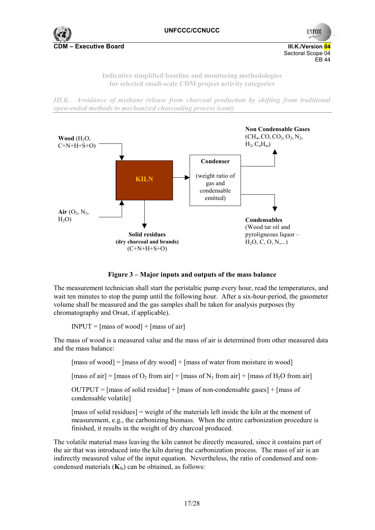

**UNFCCC** Sectoral Scope 04 EB 44

> **Indicative simplified baseline and monitoring methodologies for selected small-scale CDM project activity categories**

*III.K. Avoidance of methane release from charcoal production by shifting from traditional open-ended methods to mechanized charcoaling process (cont)* 



**Figure 3 – Major inputs and outputs of the mass balance** 

The measurement technician shall start the peristaltic pump every hour, read the temperatures, and wait ten minutes to stop the pump until the following hour. After a six-hour-period, the gasometer volume shall be measured and the gas samples shall be taken for analysis purposes (by chromatography and Orsat, if applicable).

 $INPUT = [mass of wood] + [mass of air]$ 

The mass of wood is a measured value and the mass of air is determined from other measured data and the mass balance:

[mass of wood] = [mass of dry wood] + [mass of water from moisture in wood]

[mass of air] = [mass of O<sub>2</sub> from air] + [mass of N<sub>2</sub> from air] + [mass of H<sub>2</sub>O from air]

 $OUTPUT = [mass of solid residue] + [mass of non-condensable gases] + [mass of$ condensable volatile]

[mass of solid residues] = weight of the materials left inside the kiln at the moment of measurement, e.g., the carbonizing biomass. When the entire carbonization procedure is finished, it results in the weight of dry charcoal produced.

The volatile material mass leaving the kiln cannot be directly measured, since it contains part of the air that was introduced into the kiln during the carbonization process. The mass of air is an indirectly measured value of the input equation. Nevertheless, the ratio of condensed and noncondensed materials  $(K_{fu})$  can be obtained, as follows: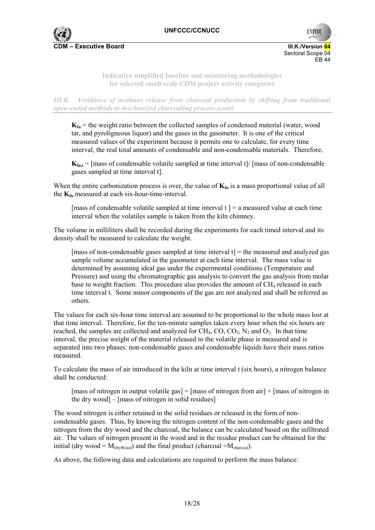

**UNFCC** 

**Indicative simplified baseline and monitoring methodologies for selected small-scale CDM project activity categories** 

*III.K. Avoidance of methane release from charcoal production by shifting from traditional open-ended methods to mechanized charcoaling process (cont)* 

 $\mathbf{K}_{\text{fu}}$  = the weight ratio between the collected samples of condensed material (water, wood tar, and pyroligneous liquor) and the gases in the gasometer. It is one of the critical measured values of the experiment because it permits one to calculate, for every time interval, the real total amounts of condensable and non-condensable materials. Therefore,

 $K_{\text{fut}}$  = [mass of condensable volatile sampled at time interval t]/ [mass of non-condensable gases sampled at time interval t].

When the entire carbonization process is over, the value of  $K_{fu}$  is a mass proportional value of all the  $K_{fu}$  measured at each six-hour-time-interval.

[mass of condensable volatile sampled at time interval  $t$ ] = a measured value at each time interval when the volatiles sample is taken from the kiln chimney.

The volume in milliliters shall be recorded during the experiments for each timed interval and its density shall be measured to calculate the weight.

[mass of non-condensable gases sampled at time interval  $t$ ] = the measured and analyzed gas sample volume accumulated in the gasometer at each time interval. The mass value is determined by assuming ideal gas under the experimental conditions (Temperature and Pressure) and using the chromatographic gas analysis to convert the gas analysis from molar base to weight fraction. This procedure also provides the amount of  $CH<sub>4</sub>$  released in each time interval t. Some minor components of the gas are not analyzed and shall be referred as others.

The values for each six-hour time interval are assumed to be proportional to the whole mass lost at that time interval. Therefore, for the ten-minute samples taken every hour when the six hours are reached, the samples are collected and analyzed for  $CH_4$ ,  $CO$ ,  $CO_2$ ,  $N_2$  and  $O_2$ . In that time interval, the precise weight of the material released to the volatile phase is measured and is separated into two phases: non-condensable gases and condensable liquids have their mass ratios measured.

To calculate the mass of air introduced in the kiln at time interval t (six hours), a nitrogen balance shall be conducted:

[mass of nitrogen in output volatile gas] = [mass of nitrogen from air] + [mass of nitrogen in the dry wood] – [mass of nitrogen in solid residues]

The wood nitrogen is either retained in the solid residues or released in the form of noncondensable gases. Thus, by knowing the nitrogen content of the non-condensable gases and the nitrogen from the dry wood and the charcoal, the balance can be calculated based on the infiltrated air. The values of nitrogen present in the wood and in the residue product can be obtained for the initial (dry wood =  $M_{DrWood}$ ) and the final product (charcoal = $M_{charcoal}$ ).

As above, the following data and calculations are required to perform the mass balance: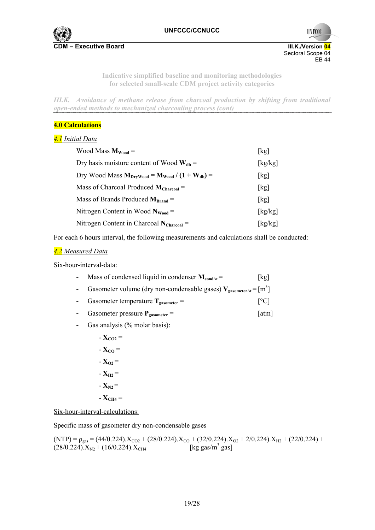

**UNFCCC** Sectoral Scope 04<br>EB 44 EB 44

> **Indicative simplified baseline and monitoring methodologies for selected small-scale CDM project activity categories**

*III.K. Avoidance of methane release from charcoal production by shifting from traditional open-ended methods to mechanized charcoaling process (cont)* 

## **4.0 Calculations**

## *4.1 Initial Data*

| Wood Mass $M_{Wood}$ =                                  | [kg]    |
|---------------------------------------------------------|---------|
| Dry basis moisture content of Wood $W_{db}$ =           | [kg/kg] |
| Dry Wood Mass $M_{DrvWood} = M_{Wood} / (1 + W_{db}) =$ | [kg]    |
| Mass of Charcoal Produced $M_{Charcoal}$ =              | [kg]    |
| Mass of Brands Produced $M_{\text{Rrand}} =$            | [kg]    |
| Nitrogen Content in Wood $N_{wood}$ =                   | [kg/kg] |
| Nitrogen Content in Charcoal $N_{Charcoal}$ =           | [kg/kg] |

For each 6 hours interval, the following measurements and calculations shall be conducted:

## *4.2 Measured Data*

Six-hour-interval-data:

| Mass of condensed liquid in condenser $M_{cond \wedge t}$ =                          | [kg]                      |
|--------------------------------------------------------------------------------------|---------------------------|
| Gasometer volume (dry non-condensable gases) $V_{\text{gasometer} \Delta t} = [m^3]$ |                           |
| Gasometer temperature $T_{\text{gasometer}} =$                                       | $\lceil{^{\circ}C}\rceil$ |

- Gasometer pressure  $P_{\text{gasometer}} =$  [atm]
- Gas analysis (% molar basis):
	- $-\mathbf{X}_{\text{CO2}} =$
	- $-\mathbf{X}_{\text{CO}}=$
	- $X_{02} =$
	- $X_{H2} =$
	- $X_{N2} =$
	- $X_{CH4} =$

Six-hour-interval-calculations:

Specific mass of gasometer dry non-condensable gases

$$
(NTP) = \rho_{gas} = (44/0.224).X_{CO2} + (28/0.224).X_{CO} + (32/0.224).X_{O2} + 2/0.224).X_{H2} + (22/0.224) + (28/0.224).X_{N2} + (16/0.224).X_{CH4}
$$
 [kg gas/m<sup>3</sup> gas]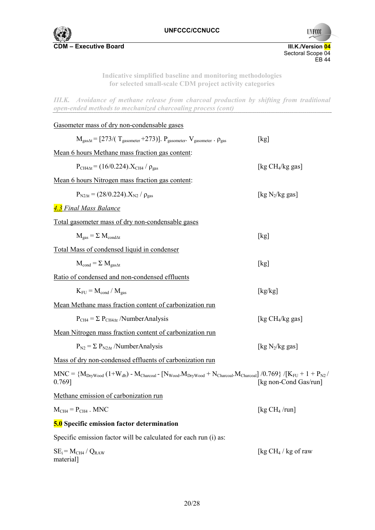

Sectoral Scope 04<br>EB 44 EB 44

**UNFCCC** 

**Indicative simplified baseline and monitoring methodologies for selected small-scale CDM project activity categories** 

*III.K. Avoidance of methane release from charcoal production by shifting from traditional open-ended methods to mechanized charcoaling process (cont)* 

| Gasometer mass of dry non-condensable gases                                                                                                                 |                        |
|-------------------------------------------------------------------------------------------------------------------------------------------------------------|------------------------|
| $M_{\text{gas}\Delta t}$ = [273/( $T_{\text{gasometer}}$ +273)]. $P_{\text{gasometer}}$ . $V_{\text{gasometer}}$ . $\rho_{\text{gas}}$                      | [kg]                   |
| Mean 6 hours Methane mass fraction gas content:                                                                                                             |                        |
| $P_{CH4\text{At}} = (16/0.224) X_{CH4} / \rho_{gas}$                                                                                                        | [kg $CH4/kg$ gas]      |
| <u>Mean 6 hours Nitrogen mass fraction gas content</u> :                                                                                                    |                        |
| $P_{N2\Delta t} = (28/0.224) X_{N2} / \rho_{gas}$                                                                                                           | [kg $N_2$ /kg gas]     |
| 4.3 Final Mass Balance                                                                                                                                      |                        |
| <u>Total gasometer mass of dry non-condensable gases</u>                                                                                                    |                        |
| $M_{\text{gas}} = \Sigma M_{\text{condAt}}$                                                                                                                 | [kg]                   |
| <b>Total Mass of condensed liquid in condenser</b>                                                                                                          |                        |
| $M_{cond} = \sum M_{gas\Delta t}$                                                                                                                           | [kg]                   |
| Ratio of condensed and non-condensed effluents                                                                                                              |                        |
| $K_{\text{FI}} = M_{\text{cond}} / M_{\text{gas}}$                                                                                                          | [kg/kg]                |
| Mean Methane mass fraction content of carbonization run                                                                                                     |                        |
| $P_{CH4} = \Sigma P_{CH4\Delta t}$ /NumberAnalysis                                                                                                          | [kg $CH4/kg$ gas]      |
| Mean Nitrogen mass fraction content of carbonization run                                                                                                    |                        |
| $P_{N2} = \sum P_{N2\Delta t} / NumberAnalysis$                                                                                                             | [kg $N_2$ /kg gas]     |
| Mass of dry non-condensed effluents of carbonization run                                                                                                    |                        |
| $MNC = {M_{DryWood} (1+W_{db}) - M_{Charcoal} - [N_{Wood}.M_{DryWood} + N_{Charcoal}.M_{Charcoal}] /0.769} / [K_{FU} + 1 + P_{N2}/N_{Gparal}]$<br>$0.769$ ] | [kg non-Cond Gas/run]  |
| Methane emission of carbonization run                                                                                                                       |                        |
| $M_{CH4} = P_{CH4}$ . MNC                                                                                                                                   | [kg $CH_4$ /run]       |
| 5.0 Specific emission factor determination                                                                                                                  |                        |
| Specific emission factor will be calculated for each run (i) as:                                                                                            |                        |
| $SE_i = M_{CH4} / Q_{RAW}$<br>material]                                                                                                                     | [kg $CH_4$ / kg of raw |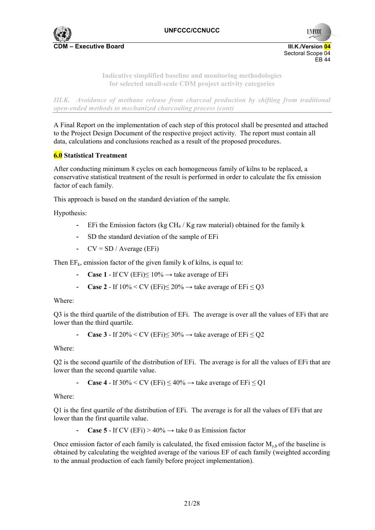

**UNFCCC** 

**Indicative simplified baseline and monitoring methodologies for selected small-scale CDM project activity categories** 

*III.K. Avoidance of methane release from charcoal production by shifting from traditional open-ended methods to mechanized charcoaling process (cont)* 

A Final Report on the implementation of each step of this protocol shall be presented and attached to the Project Design Document of the respective project activity. The report must contain all data, calculations and conclusions reached as a result of the proposed procedures.

## **6.0 Statistical Treatment**

After conducting minimum 8 cycles on each homogeneous family of kilns to be replaced, a conservative statistical treatment of the result is performed in order to calculate the fix emission factor of each family.

This approach is based on the standard deviation of the sample.

Hypothesis:

- EFi the Emission factors (kg CH<sub>4</sub> / Kg raw material) obtained for the family k
- SD the standard deviation of the sample of EFi
- $CV = SD / Average (EFi)$

Then  $EF_k$ , emission factor of the given family k of kilns, is equal to:

- **Case 1** If CV (EFi) $\leq 10\% \rightarrow$  take average of EFi
- **Case 2** If  $10\%$  < CV (EFi) $\leq$  20%  $\rightarrow$  take average of EFi  $\leq$  Q3

Where:

Q3 is the third quartile of the distribution of EFi. The average is over all the values of EFi that are lower than the third quartile.

**Case 3** - If  $20\%$  < CV (EFi)  $\leq 30\%$   $\rightarrow$  take average of EFi  $\leq$  O2

Where:

Q2 is the second quartile of the distribution of EFi. The average is for all the values of EFi that are lower than the second quartile value.

**Case 4** - If  $30\% \leq CV$  (EFi)  $\leq 40\% \rightarrow$  take average of EFi $\leq O1$ 

Where:

Q1 is the first quartile of the distribution of EFi. The average is for all the values of EFi that are lower than the first quartile value.

**Case 5** - If CV (EFi) >  $40\% \rightarrow$  take 0 as Emission factor

Once emission factor of each family is calculated, the fixed emission factor  $M_{\nu b}$  of the baseline is obtained by calculating the weighted average of the various EF of each family (weighted according to the annual production of each family before project implementation).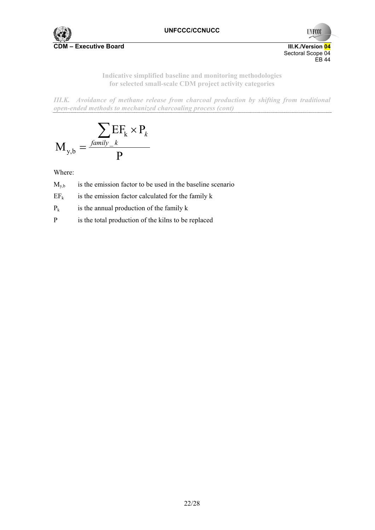

**UNFCCC** Sectoral Scope 04<br>EB 44 EB 44

> **Indicative simplified baseline and monitoring methodologies for selected small-scale CDM project activity categories**

*III.K. Avoidance of methane release from charcoal production by shifting from traditional open-ended methods to mechanized charcoaling process (cont)* 

$$
M_{y,b} = \frac{\sum_{\text{family}} EF_k \times P_k}{P}
$$

Where:

 $M_{v,b}$  is the emission factor to be used in the baseline scenario

 $EF_k$  is the emission factor calculated for the family k

 $P_k$  is the annual production of the family k

P is the total production of the kilns to be replaced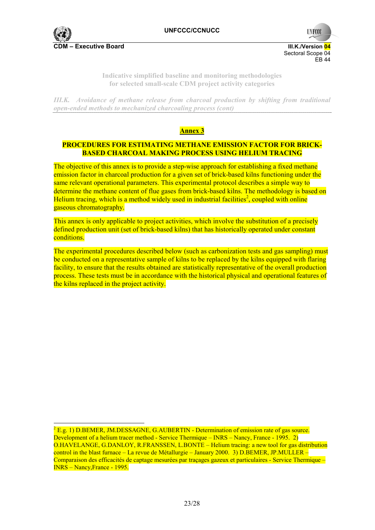

Sectoral Scope 04 EB 44

**UNFCC** 

**Indicative simplified baseline and monitoring methodologies for selected small-scale CDM project activity categories** 

*III.K. Avoidance of methane release from charcoal production by shifting from traditional open-ended methods to mechanized charcoaling process (cont)* 

# **Annex 3**

## **PROCEDURES FOR ESTIMATING METHANE EMISSION FACTOR FOR BRICK-BASED CHARCOAL MAKING PROCESS USING HELIUM TRACING**

The objective of this annex is to provide a step-wise approach for establishing a fixed methane emission factor in charcoal production for a given set of brick-based kilns functioning under the same relevant operational parameters. This experimental protocol describes a simple way to determine the methane content of flue gases from brick-based kilns. The methodology is based on Helium tracing, which is a method widely used in industrial facilities<sup>2</sup>, coupled with online gaseous chromatography.

This annex is only applicable to project activities, which involve the substitution of a precisely defined production unit (set of brick-based kilns) that has historically operated under constant conditions.

The experimental procedures described below (such as carbonization tests and gas sampling) must be conducted on a representative sample of kilns to be replaced by the kilns equipped with flaring facility, to ensure that the results obtained are statistically representative of the overall production process. These tests must be in accordance with the historical physical and operational features of the kilns replaced in the project activity.

 $2$  E.g. 1) D.BEMER, JM.DESSAGNE, G.AUBERTIN - Determination of emission rate of gas source. Development of a helium tracer method - Service Thermique – INRS – Nancy, France - 1995. 2) O.HAVELANGE, G.DANLOY, R.FRANSSEN, L.BONTE – Helium tracing: a new tool for gas distribution control in the blast furnace – La revue de Métallurgie – January 2000. 3) D.BEMER, JP.MULLER – Comparaison des efficacités de captage mesurées par traçages gazeux et particulaires - Service Thermique – INRS – Nancy,France - 1995.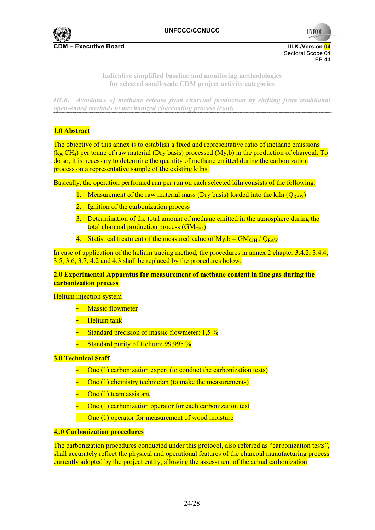

**UNFCCC** 

**Indicative simplified baseline and monitoring methodologies for selected small-scale CDM project activity categories** 

*III.K. Avoidance of methane release from charcoal production by shifting from traditional open-ended methods to mechanized charcoaling process (cont)* 

## **1.0 Abstract**

The objective of this annex is to establish a fixed and representative ratio of methane emissions (kg CH<sub>4</sub>) per tonne of raw material (Dry basis) processed (My,b) in the production of charcoal. To do so, it is necessary to determine the quantity of methane emitted during the carbonization process on a representative sample of the existing kilns.

Basically, the operation performed run per run on each selected kiln consists of the following:

- 1. Measurement of the raw material mass (Dry basis) loaded into the kiln  $(Q_{RAW})$
- 2. Ignition of the carbonization process
- 3. Determination of the total amount of methane emitted in the atmosphere during the total charcoal production process  $(GM<sub>CH4</sub>)$
- 4. Statistical treatment of the measured value of  $My, b = GM<sub>CH4</sub>/Q<sub>RAW</sub>$

In case of application of the helium tracing method, the procedures in annex 2 chapter 3.4.2, 3.4.4, 3.5, 3.6, 3.7, 4.2 and 4.3 shall be replaced by the procedures below.

## **2.0 Experimental Apparatus for measurement of methane content in flue gas during the carbonization process**

#### Helium injection system

- **Massic flowmeter**
- **Helium tank**
- Standard precision of massic flowmeter: 1,5 %
- Standard purity of Helium: 99,995 %

#### **3.0 Technical Staff**

- One (1) carbonization expert (to conduct the carbonization tests)
- One (1) chemistry technician (to make the measurements)
- One (1) team assistant
- One (1) carbonization operator for each carbonization test
- One (1) operator for measurement of wood moisture

#### **4..0 Carbonization procedures**

The carbonization procedures conducted under this protocol, also referred as "carbonization tests", shall accurately reflect the physical and operational features of the charcoal manufacturing process currently adopted by the project entity, allowing the assessment of the actual carbonization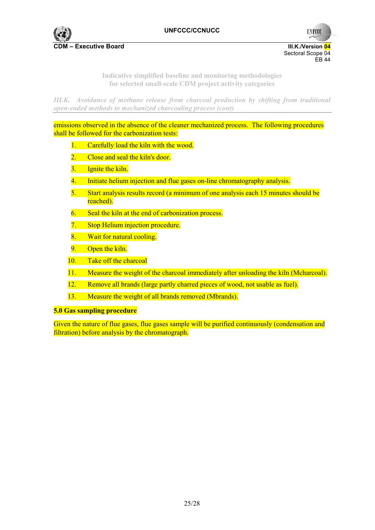

**UNFCCC** 

**Indicative simplified baseline and monitoring methodologies for selected small-scale CDM project activity categories** 

*III.K. Avoidance of methane release from charcoal production by shifting from traditional open-ended methods to mechanized charcoaling process (cont)* 

emissions observed in the absence of the cleaner mechanized process. The following procedures shall be followed for the carbonization tests:

- 1. Carefully load the kiln with the wood.
- 2. Close and seal the kiln's door.
- 3. Ignite the kiln.
- 4. Initiate helium injection and flue gases on-line chromatography analysis.
- 5. Start analysis results record (a minimum of one analysis each 15 minutes should be reached).
- 6. Seal the kiln at the end of carbonization process.
- 7. Stop Helium injection procedure.
- 8. Wait for natural cooling.
- 9. Open the kiln.
- 10. Take off the charcoal
- 11. Measure the weight of the charcoal immediately after unloading the kiln (Mcharcoal).
- 12. Remove all brands (large partly charred pieces of wood, not usable as fuel).
- 13. Measure the weight of all brands removed (Mbrands).

#### **5.0 Gas sampling procedure**

Given the nature of flue gases, flue gases sample will be purified continuously (condensation and filtration) before analysis by the chromatograph.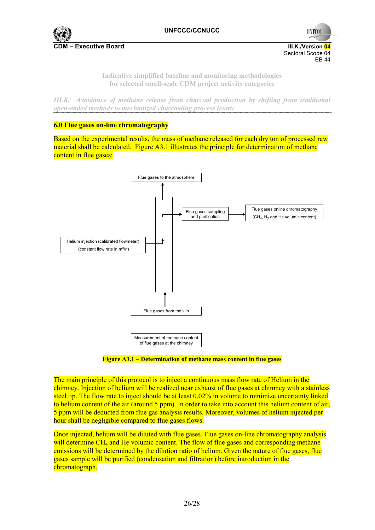

**UNFCCC** Sectoral Scope 04 EB 44

> **Indicative simplified baseline and monitoring methodologies for selected small-scale CDM project activity categories**

*III.K. Avoidance of methane release from charcoal production by shifting from traditional open-ended methods to mechanized charcoaling process (cont)* 

## **6.0 Flue gases on-line chromatography**

Based on the experimental results, the mass of methane released for each dry ton of processed raw material shall be calculated. Figure A3.1 illustrates the principle for determination of methane content in flue gases:



**Figure A3.1 – Determination of methane mass content in flue gases** 

The main principle of this protocol is to inject a continuous mass flow rate of Helium in the chimney. Injection of helium will be realized near exhaust of flue gases at chimney with a stainless steel tip. The flow rate to inject should be at least 0,02% in volume to minimize uncertainty linked to helium content of the air (around 5 ppm). In order to take into account this helium content of air, 5 ppm will be deducted from flue gas analysis results. Moreover, volumes of helium injected per hour shall be negligible compared to flue gases flows.

Once injected, helium will be diluted with flue gases. Flue gases on-line chromatography analysis will determine CH<sub>4</sub> and He volumic content. The flow of flue gases and corresponding methane emissions will be determined by the dilution ratio of helium. Given the nature of flue gases, flue gases sample will be purified (condensation and filtration) before introduction in the chromatograph.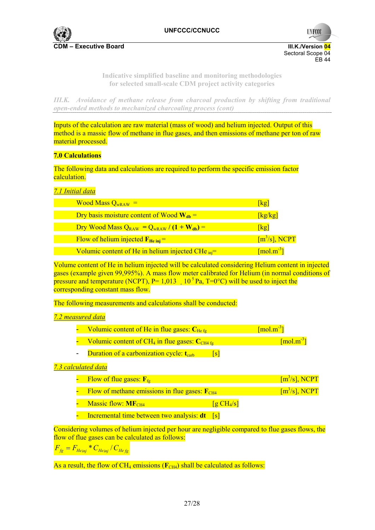

**UNFCCC** 

**Indicative simplified baseline and monitoring methodologies for selected small-scale CDM project activity categories** 

*III.K. Avoidance of methane release from charcoal production by shifting from traditional open-ended methods to mechanized charcoaling process (cont)* 

Inputs of the calculation are raw material (mass of wood) and helium injected. Output of this method is a massic flow of methane in flue gases, and then emissions of methane per ton of raw material processed.

## **7.0 Calculations**

The following data and calculations are required to perform the specific emission factor calculation.

## *7.1 Initial data*

| <b>Wood Mass <math>Q_{wRAW}</math> =</b>                       | [kg]                              |
|----------------------------------------------------------------|-----------------------------------|
| Dry basis moisture content of Wood $W_{db}$ =                  | [kg/kg]                           |
| Dry Wood Mass $Q_{RAW} = Q_{wRAW} / (1 + W_{db}) =$            | [kg]                              |
| Flow of helium injected $F_{He\text{ ini}} =$                  | $\lceil m^3/s \rceil$ , NCPT      |
| Volumic content of He in helium injected CHe $_{\text{inj}}$ = | $\lceil \text{mol.m}^{-3} \rceil$ |

Volume content of He in helium injected will be calculated considering Helium content in injected gases (example given 99,995%). A mass flow meter calibrated for Helium (in normal conditions of pressure and temperature (NCPT), P=  $1,013$  10<sup>5</sup> Pa, T=0°C) will be used to inject the corresponding constant mass flow.

The following measurements and calculations shall be conducted:

## *7.2 measured data*

| - Volumic content of He in flue gases: $C_{Hefg}$                          | $\lceil \text{mol.m}^{-3} \rceil$ |
|----------------------------------------------------------------------------|-----------------------------------|
| <b>Volumic content of CH<sub>4</sub> in flue gases: C<sub>CH4 fg</sub></b> | $\lceil \text{mol.m}^{-3} \rceil$ |

- Duration of a carbonization cycle: t<sub>earb</sub> [s]

## *7.3 calculated data*

| - Flow of flue gases: $F_{fe}$                                       |                        | $\lceil m^3/s \rceil$ , NCPT |
|----------------------------------------------------------------------|------------------------|------------------------------|
| - Flow of methane emissions in flue gases: $\mathbf{F}_{\text{CH4}}$ |                        | $\lceil m^3/s \rceil$ , NCPT |
| - Massic flow: MF <sub>CH4</sub>                                     | [g CH <sub>4</sub> /s] |                              |
| Incremental time between two analysis: dt [s]                        |                        |                              |

Considering volumes of helium injected per hour are negligible compared to flue gases flows, the flow of flue gases can be calculated as follows:

 $F_{fg} = F_{Heinj} * C_{Heinj} / C_{Hefg}$ 

As a result, the flow of  $CH_4$  emissions ( $\mathbf{F}_{CH4}$ ) shall be calculated as follows: